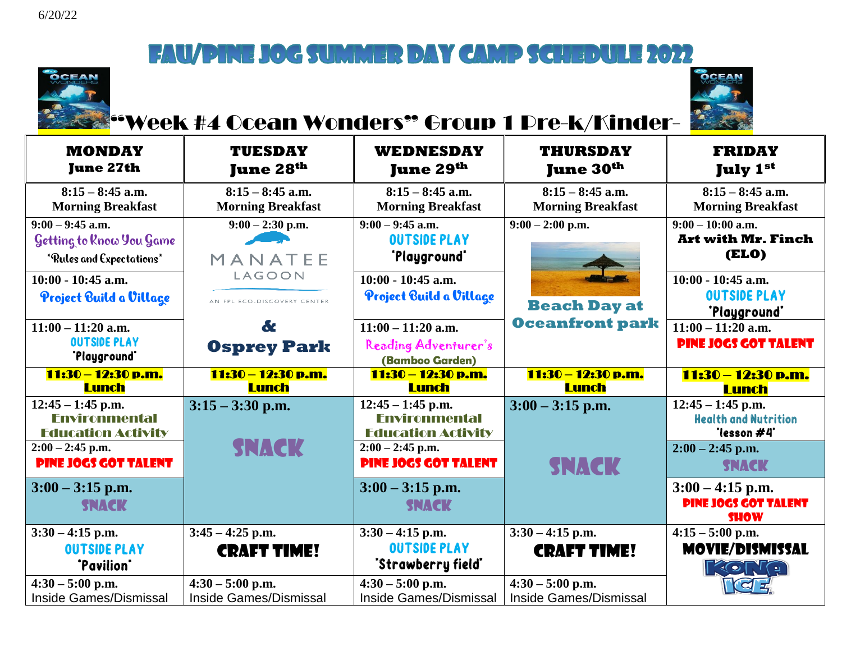



#### "Week #4 Ocean Wonders" Group 1 Pre-k/Kinder-

| <b>MONDAY</b><br><b>June 27th</b>                                                                                             | <b>TUESDAY</b><br><b>June 28th</b>                  | <b>WEDNESDAY</b><br><b>June 29th</b>                                                                                          | <b>THURSDAY</b><br><b>June 30th</b>            | <b>FRIDAY</b><br><b>July 1st</b>                                                                        |
|-------------------------------------------------------------------------------------------------------------------------------|-----------------------------------------------------|-------------------------------------------------------------------------------------------------------------------------------|------------------------------------------------|---------------------------------------------------------------------------------------------------------|
| $8:15 - 8:45$ a.m.<br><b>Morning Breakfast</b>                                                                                | $8:15 - 8:45$ a.m.<br><b>Morning Breakfast</b>      | $8:15 - 8:45$ a.m.<br><b>Morning Breakfast</b>                                                                                | $8:15 - 8:45$ a.m.<br><b>Morning Breakfast</b> | $8:15 - 8:45$ a.m.<br><b>Morning Breakfast</b>                                                          |
| $9:00 - 9:45$ a.m.<br>Getting to Know You Game<br>*Rules and Expectations*                                                    | $9:00 - 2:30$ p.m.<br>MANATEE                       | $9:00 - 9:45$ a.m.<br><b>OUTSIDE PLAY</b><br>"Playground"                                                                     | $9:00 - 2:00$ p.m.                             | $9:00 - 10:00$ a.m.<br><b>Art with Mr. Finch</b><br>(ELO)                                               |
| $10:00 - 10:45$ a.m.<br>Project Build a Village                                                                               | LAGOON<br>AN FPL ECO-DISCOVERY CENTER               | $10:00 - 10:45$ a.m.<br>Project Build a Village                                                                               | <b>Beach Day at</b>                            | $10:00 - 10:45$ a.m.<br><b>OUTSIDE PLAY</b><br>"Playground"                                             |
| $11:00 - 11:20$ a.m.<br><b>OUTSIDE PLAY</b><br>'Playground'                                                                   | &<br><b>Osprey Park</b>                             | $11:00 - 11:20$ a.m.<br>Reading Adventurer's<br>(Bamboo Garden)                                                               | <b>Oceanfront park</b>                         | $11:00 - 11:20$ a.m.<br><b>PINE JOGS GOT TALENT</b>                                                     |
| 11:30 - 12:30 p.m.<br><b>Lunch</b>                                                                                            | 11:30 – 12:30 p.m.<br><b>Lunch</b>                  | 11:30 - 12:30 p.m.<br><b>Lunch</b>                                                                                            | 11:30 - 12:30 p.m.<br><b>Lunch</b>             | 11:30 - 12:30 p.m.<br><b>Lunch</b>                                                                      |
| $12:45 - 1:45$ p.m.<br><b>Fnvironmental</b><br><b>Education Activity</b><br>$2:00 - 2:45$ p.m.<br><b>PINE JOGS GOT TALENT</b> | $3:15 - 3:30$ p.m.<br><b>SNACK</b>                  | $12:45 - 1:45$ p.m.<br><b>Fnvironmental</b><br><b>Education Activity</b><br>$2:00 - 2:45$ p.m.<br><b>PINE JOGS GOT TALENT</b> | $3:00 - 3:15$ p.m.<br><b>SNACK</b>             | $12:45 - 1:45$ p.m.<br><b>Health and Nutrition</b><br>"lesson #4"<br>$2:00 - 2:45$ p.m.<br><b>SNACK</b> |
| $3:00 - 3:15$ p.m.<br><b>SNACK</b>                                                                                            |                                                     | $3:00 - 3:15$ p.m.<br>SNACK                                                                                                   |                                                | $3:00 - 4:15$ p.m.<br><b>PINE JOGS GOT TALENT</b><br><b>SHOW</b>                                        |
| $3:30 - 4:15$ p.m.<br><b>OUTSIDE PLAY</b><br>"Pavilion"                                                                       | $3:45 - 4:25$ p.m.<br><b>CRAFT TIME!</b>            | $3:30 - 4:15$ p.m.<br><b>OUTSIDE PLAY</b><br>"Strawberry field"                                                               | $3:30 - 4:15$ p.m.<br><b>CRAFT TIME!</b>       | $4:15 - 5:00$ p.m.<br><b>MOVIE/DISMISSAL</b><br><b>AORIA</b>                                            |
| $4:30 - 5:00$ p.m.<br><b>Inside Games/Dismissal</b>                                                                           | $4:30 - 5:00$ p.m.<br><b>Inside Games/Dismissal</b> | $4:30 - 5:00$ p.m.<br><b>Inside Games/Dismissal</b>                                                                           | $4:30 - 5:00$ p.m.<br>Inside Games/Dismissal   | <b>TEL</b>                                                                                              |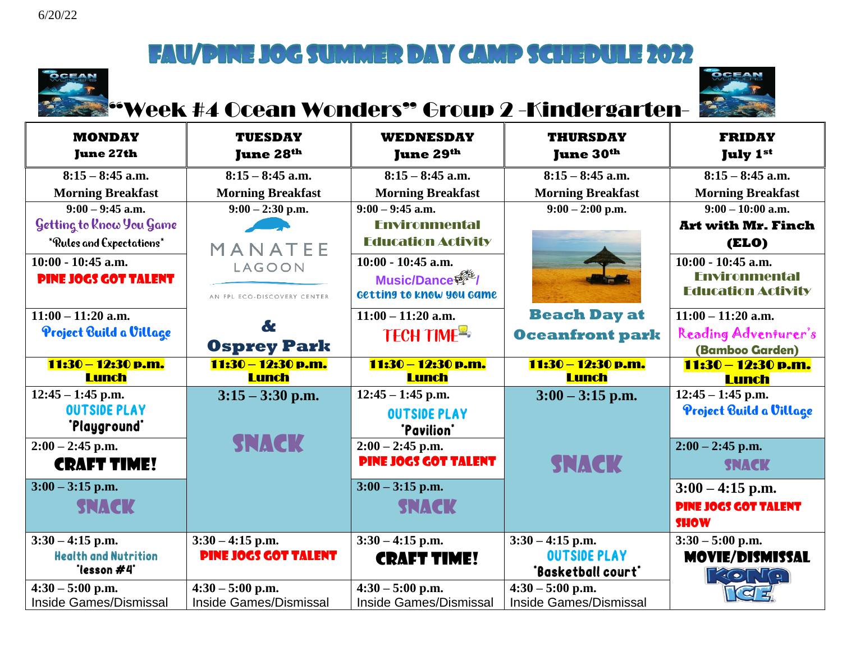

# "Week #4 Ocean Wonders" Group 2 -Kindergarten-



| <b>MONDAY</b><br><b>June 27th</b> | <b>TUESDAY</b><br><b>June 28th</b> | <b>WEDNESDAY</b><br><b>June 29th</b> | <b>THURSDAY</b><br><b>June 30th</b> | <b>FRIDAY</b><br><b>July 1st</b> |
|-----------------------------------|------------------------------------|--------------------------------------|-------------------------------------|----------------------------------|
| $8:15 - 8:45$ a.m.                | $8:15 - 8:45$ a.m.                 | $8:15 - 8:45$ a.m.                   | $8:15 - 8:45$ a.m.                  | $8:15 - 8:45$ a.m.               |
| <b>Morning Breakfast</b>          | <b>Morning Breakfast</b>           | <b>Morning Breakfast</b>             | <b>Morning Breakfast</b>            | <b>Morning Breakfast</b>         |
| $9:00 - 9:45$ a.m.                | $9:00 - 2:30$ p.m.                 | $9:00 - 9:45$ a.m.                   | $9:00 - 2:00$ p.m.                  | $9:00 - 10:00$ a.m.              |
| Getting to Rnow You Game          |                                    | <b>Environmental</b>                 |                                     | <b>Art with Mr. Finch</b>        |
| *Rules and Expectations*          | MANATEE                            | <b>Education Activity</b>            |                                     | <b>(ELO)</b>                     |
| 10:00 - 10:45 a.m.                | <b>LAGOON</b>                      | $10:00 - 10:45$ a.m.                 |                                     | 10:00 - 10:45 a.m.               |
| <b>PINE JOGS GOT TALENT</b>       |                                    | Music/Dance                          |                                     | <b>Environmental</b>             |
|                                   | AN FPL ECO-DISCOVERY CENTER        | Getting to know you game             |                                     | <b>Education Activity</b>        |
| $11:00 - 11:20$ a.m.              |                                    | $11:00 - 11:20$ a.m.                 | <b>Beach Day at</b>                 | $11:00 - 11:20$ a.m.             |
| Project Build a Village           | &                                  | <b>TECH TIME<sup>E</sup></b>         | <b>Oceanfront park</b>              | Reading Adventurer's             |
|                                   | <b>Osprey Park</b>                 |                                      |                                     | (Bamboo Garden)                  |
| 11:30 - 12:30 p.m.                | 11:30 - 12:30 p.m.                 | 11:30 – 12:30 p.m.                   | 11:30 - 12:30 p.m.                  | 11:30 - 12:30 p.m.               |
| Lunch                             | <b>Lunch</b>                       | <b>Lunch</b>                         | <b>Lunch</b>                        | <b>Lunch</b>                     |
| $\overline{12:}45 - 1:45$ p.m.    | $3:15 - 3:30$ p.m.                 | $12:45 - 1:45$ p.m.                  | $3:00 - 3:15$ p.m.                  | $12:45 - 1:45$ p.m.              |
| <b>OUTSIDE PLAY</b>               |                                    | <b>OUTSIDE PLAY</b>                  |                                     | Project Build a Village          |
| "Playground"                      |                                    | "Pavilion"                           |                                     |                                  |
| $2:00 - 2:45$ p.m.                | <b>SNACK</b>                       | $2:00 - 2:45$ p.m.                   |                                     | $2:00 - 2:45$ p.m.               |
| <b>CRAFT TIME!</b>                |                                    | <b>PINE JOGS GOT TALENT</b>          | <b>SNACK</b>                        | <b>SNACK</b>                     |
| $3:00 - 3:15$ p.m.                |                                    | $3:00 - 3:15$ p.m.                   |                                     | $3:00 - 4:15$ p.m.               |
| <b>SNACK</b>                      |                                    | <b>SNACK</b>                         |                                     | <b>PINE JOGS GOT TALENT</b>      |
|                                   |                                    |                                      |                                     | <b>SHOW</b>                      |
| $3:30 - 4:15$ p.m.                | $3:30 - 4:15$ p.m.                 | $3:30 - 4:15$ p.m.                   | $3:30 - 4:15$ p.m.                  | $3:30 - 5:00$ p.m.               |
| <b>Health and Nutrition</b>       | <b>PINE JOGS GOT TALENT</b>        | <b>CRAFT TIME!</b>                   | <b>OUTSIDE PLAY</b>                 | <b>MOVIE/DISMISSAL</b>           |
| "lesson #4"                       |                                    |                                      | 'Basketball court'                  | <b>EXOLTO</b>                    |
| $4:30 - 5:00$ p.m.                | $4:30 - 5:00$ p.m.                 | $4:30 - 5:00$ p.m.                   | $4:30 - 5:00$ p.m.                  |                                  |
| Inside Games/Dismissal            | <b>Inside Games/Dismissal</b>      | <b>Inside Games/Dismissal</b>        | <b>Inside Games/Dismissal</b>       |                                  |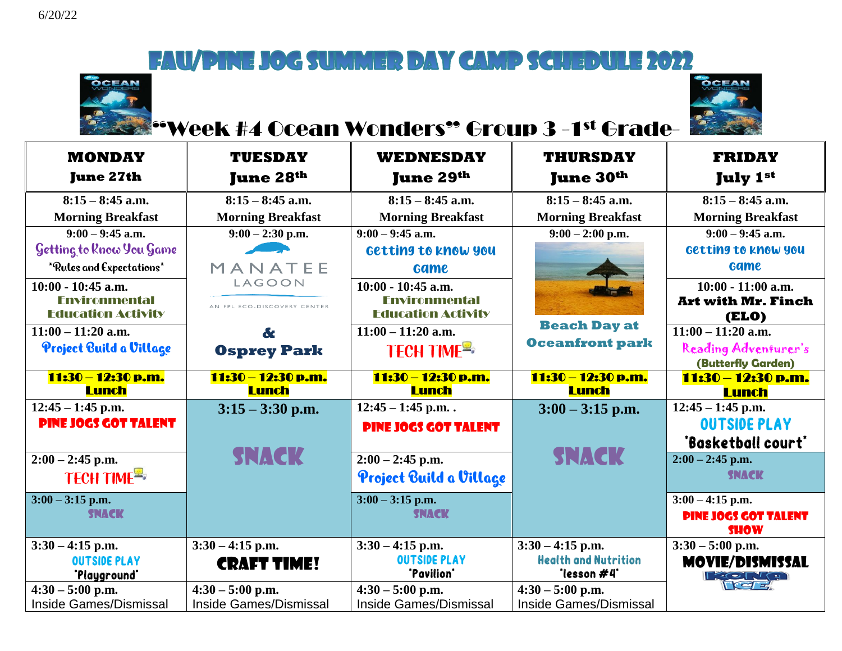



#### **E** Week #4 Ocean Wonders" Group 3 -1st Grade-

| <b>MONDAY</b><br><b>June 27th</b>                   | <b>TUESDAY</b><br><b>June 28th</b>                  | <b>WEDNESDAY</b><br>June 29 <sup>th</sup>           | <b>THURSDAY</b><br><b>June 30th</b>                 | <b>FRIDAY</b><br><b>July 1st</b>                  |
|-----------------------------------------------------|-----------------------------------------------------|-----------------------------------------------------|-----------------------------------------------------|---------------------------------------------------|
| $8:15 - 8:45$ a.m.                                  | $8:15 - 8:45$ a.m.                                  | $8:15 - 8:45$ a.m.                                  | $8:15 - 8:45$ a.m.                                  | $8:15 - 8:45$ a.m.                                |
| <b>Morning Breakfast</b>                            | <b>Morning Breakfast</b>                            | <b>Morning Breakfast</b>                            | <b>Morning Breakfast</b>                            | <b>Morning Breakfast</b>                          |
| $9:00 - 9:45$ a.m.                                  | $9:00 - 2:30$ p.m.                                  | $9:00 - 9:45$ a.m.                                  | $9:00 - 2:00$ p.m.                                  | $9:00 - 9:45$ a.m.                                |
| Getting to Know You Game                            |                                                     | Getting to know you                                 |                                                     | Getting to know you                               |
| *Rules and Expectations*                            | MANATEE                                             | <b>Game</b>                                         |                                                     | <b>Game</b>                                       |
| $10:00 - 10:45$ a.m.                                | LAGOON                                              | $10:00 - 10:45$ a.m.                                |                                                     | $10:00 - 11:00$ a.m.                              |
| <b>Fnvironmental</b><br><b>Education Activity</b>   | AN FPL ECO-DISCOVERY CENTER                         | <b>Fnvironmental</b><br><b>Education Activity</b>   |                                                     | <b>Art with Mr. Finch</b><br>(ELO)                |
| $11:00 - 11:20$ a.m.                                | $\mathbf{d}$                                        | $11:00 - 11:20$ a.m.                                | <b>Beach Day at</b>                                 | $11:00 - 11:20$ a.m.                              |
| Project Build a Village                             | <b>Osprey Park</b>                                  | <b>TECH TIME<sup>R</sup></b>                        | <b>Oceanfront park</b>                              | Reading Adventurer's<br><b>(Butterfly Garden)</b> |
| 11:30 - 12:30 p.m.                                  | 11:30 - 12:30 p.m.                                  | 11:30 - 12:30 p.m.                                  | 11:30 – 12:30 p.m.                                  | 11:30 – 12:30 p.m.                                |
|                                                     |                                                     |                                                     |                                                     |                                                   |
| <b>Lunch</b>                                        | <b>Lunch</b>                                        | Lunch                                               | <b>Lunch</b>                                        | <b>Lunch</b>                                      |
| $12:45 - 1:45$ p.m.                                 | $3:15 - 3:30$ p.m.                                  | $12:45 - 1:45$ p.m                                  | $3:00 - 3:15$ p.m.                                  | $12:45 - 1:45$ p.m.                               |
| <b>PINE JOGS GOT TALENT</b>                         |                                                     | <b>PINE JOGS GOT TALENT</b>                         |                                                     | <b>OUTSIDE PLAY</b>                               |
|                                                     |                                                     |                                                     |                                                     | "Basketball court"                                |
| $2:00 - 2:45$ p.m.                                  | <b>SNACK</b>                                        | $2:00 - 2:45$ p.m.                                  | <b>SNACK</b>                                        | $2:00 - 2:45$ p.m.                                |
| <b>TECH TIME<sup>=</sup></b>                        |                                                     | Project Build a Village                             |                                                     | <b>SNACK</b>                                      |
| $3:00 - 3:15$ p.m.                                  |                                                     | $3:00 - 3:15$ p.m.                                  |                                                     | $3:00 - 4:15$ p.m.                                |
| <b>SNACK</b>                                        |                                                     | <b>SNACK</b>                                        |                                                     | <b>PINE JOGS GOT TALENT</b><br><b>SHOW</b>        |
| $3:30 - 4:15$ p.m.                                  | $3:30 - 4:15$ p.m.                                  | $3:30 - 4:15$ p.m.                                  | $3:30 - 4:15$ p.m.                                  | $3:30 - 5:00$ p.m.                                |
| <b>OUTSIDE PLAY</b><br>'Playground'                 | <b>CRAFT TIME!</b>                                  | <b>OUTSIDE PLAY</b><br>"Pavilion"                   | <b>Health and Nutrition</b><br>'lesson#4'           | <b>MOVIE/DISMISSAL</b>                            |
| $4:30 - 5:00$ p.m.<br><b>Inside Games/Dismissal</b> | $4:30 - 5:00$ p.m.<br><b>Inside Games/Dismissal</b> | $4:30 - 5:00$ p.m.<br><b>Inside Games/Dismissal</b> | $4:30 - 5:00$ p.m.<br><b>Inside Games/Dismissal</b> |                                                   |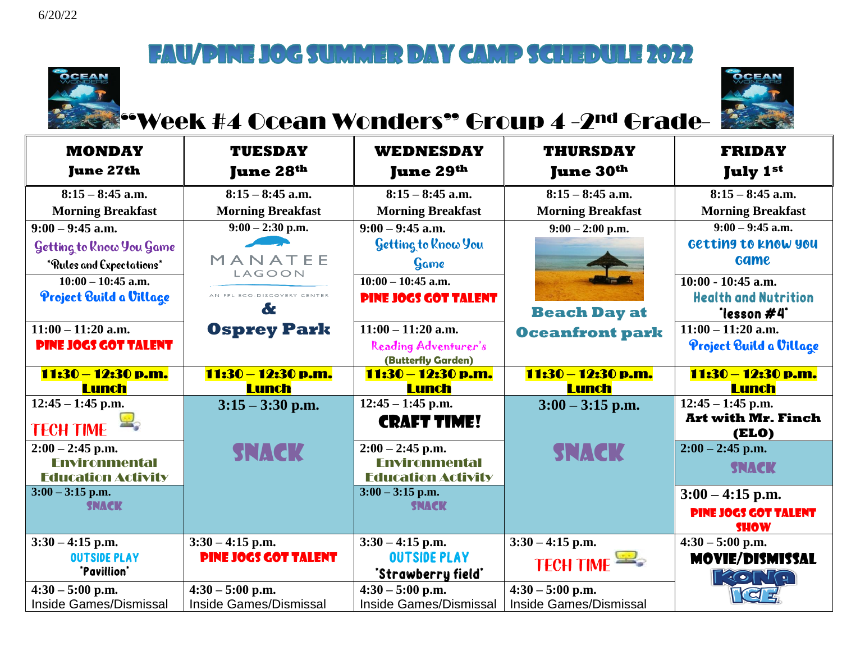



## **"Week #4 Ocean Wonders" Group 4 -2<sup>nd</sup> Grade-**

| <b>MONDAY</b>                                | <b>TUESDAY</b>                               | <b>WEDNESDAY</b>                             | <b>THURSDAY</b>                              | <b>FRIDAY</b>                             |
|----------------------------------------------|----------------------------------------------|----------------------------------------------|----------------------------------------------|-------------------------------------------|
| <b>June 27th</b>                             | <b>June 28th</b>                             | <b>June 29th</b>                             | <b>June 30th</b>                             | <b>July 1st</b>                           |
| $8:15 - 8:45$ a.m.                           | $8:15 - 8:45$ a.m.                           | $8:15 - 8:45$ a.m.                           | $8:15 - 8:45$ a.m.                           | $8:15 - 8:45$ a.m.                        |
| <b>Morning Breakfast</b>                     | <b>Morning Breakfast</b>                     | <b>Morning Breakfast</b>                     | <b>Morning Breakfast</b>                     | <b>Morning Breakfast</b>                  |
| $9:00 - 9:45$ a.m.                           | $9:00 - 2:30$ p.m.                           | $9:00 - 9:45$ a.m.                           | $9:00 - 2:00$ p.m.                           | $9:00 - 9:45$ a.m.                        |
| Getting to Know You Game                     |                                              | Getting to Know You                          |                                              | Getting to know you                       |
| *Rules and Expectations*                     | MANATEE                                      | Game                                         |                                              | <b>Game</b>                               |
| $\overline{10:00} - 10:45$ a.m.              | LAGOON                                       | $10:00 - 10:45$ a.m.                         |                                              | $10:00 - 10:45$ a.m.                      |
| Project Build a Village                      | AN FPL ECO-DISCOVERY CENTER                  | <b>PINE JOGS GOT TALENT</b>                  |                                              | <b>Health and Nutrition</b>               |
|                                              | &                                            |                                              | <b>Beach Day at</b>                          | 'lesson #4'                               |
| $11:00 - 11:20$ a.m.                         | <b>Osprey Park</b>                           | $11:00 - 11:20$ a.m.                         | <b>Oceanfront park</b>                       | $11:00 - 11:20$ a.m.                      |
| <b>PINE JOGS GOT TALENT</b>                  |                                              | Reading Adventurer's                         |                                              | Project Build a Village                   |
|                                              |                                              | (Butterfly Garden)                           |                                              |                                           |
| 11:30 - 12:30 p.m.                           | 11:30 – 12:30 p.m.                           | 11:30 – 12:30 p.m.                           | 11:30 – 12:30 p.m.                           | 11:30 - 12:30 p.m.                        |
|                                              |                                              |                                              |                                              |                                           |
| <b>Lunch</b>                                 | <b>Lunch</b>                                 | <b>Lunch</b>                                 | <b>Lunch</b>                                 | <b>Lunch</b>                              |
| $12:45 - 1:45$ p.m.                          | $3:15 - 3:30$ p.m.                           | $12:45 - 1:45$ p.m.                          | $3:00 - 3:15$ p.m.                           | $12:45 - 1:45$ p.m.                       |
| <b>TECH TIME</b>                             |                                              | <b>CRAFT TIME!</b>                           |                                              | <b>Art with Mr. Finch</b><br><b>(ELO)</b> |
| $2:00 - 2:45$ p.m.                           |                                              | $2:00 - 2:45$ p.m.                           |                                              | $2:00 - 2:45$ p.m.                        |
| <b>Environmental</b>                         | <b>SNACK</b>                                 | <b>Environmental</b>                         | <b>SNACK</b>                                 |                                           |
| <b>Education Activity</b>                    |                                              | <b>Education Activity</b>                    |                                              | <b>SNACK</b>                              |
| $3:00 - 3:15$ p.m.                           |                                              | $3:00 - 3:15$ p.m.                           |                                              | $3:00 - 4:15$ p.m.                        |
| <b>SNACK</b>                                 |                                              | <b>SNACK</b>                                 |                                              | <b>PINE JOGS GOT TALENT</b>               |
|                                              |                                              |                                              |                                              | <b>SHOW</b>                               |
| $3:30 - 4:15$ p.m.                           | $3:30 - 4:15$ p.m.                           | $3:30 - 4:15$ p.m.                           | $3:30 - 4:15$ p.m.                           | $4:30 - 5:00$ p.m.                        |
| <b>OUTSIDE PLAY</b>                          | <b>PINE JOGS GOT TALENT</b>                  | <b>OUTSIDE PLAY</b>                          |                                              | <b>MOVIE/DISMISSAL</b>                    |
| "Pavillion"                                  |                                              | "Strawberry field"                           | <b>TECH TIME</b>                             | <b>FACTYO</b>                             |
| $4:30 - 5:00$ p.m.<br>Inside Games/Dismissal | $4:30 - 5:00$ p.m.<br>Inside Games/Dismissal | $4:30 - 5:00$ p.m.<br>Inside Games/Dismissal | $4:30 - 5:00$ p.m.<br>Inside Games/Dismissal |                                           |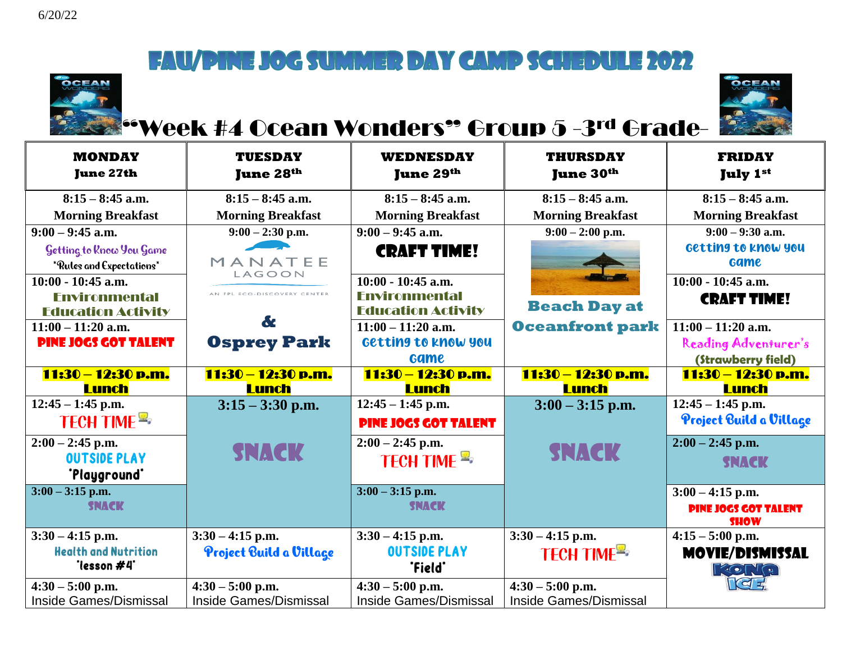



### **E** Week #4 Ocean Wonders" Group 5 -3rd Grade-

| <b>MONDAY</b><br><b>June 27th</b>                    | <b>TUESDAY</b><br>June 28 <sup>th</sup> | <b>WEDNESDAY</b><br><b>June 29th</b>              | <b>THURSDAY</b><br><b>June 30th</b> | <b>FRIDAY</b><br><b>July 1st</b>           |
|------------------------------------------------------|-----------------------------------------|---------------------------------------------------|-------------------------------------|--------------------------------------------|
| $8:15 - 8:45$ a.m.                                   | $8:15 - 8:45$ a.m.                      | $8:15 - 8:45$ a.m.                                | $8:15 - 8:45$ a.m.                  | $8:15 - 8:45$ a.m.                         |
| <b>Morning Breakfast</b>                             | <b>Morning Breakfast</b>                | <b>Morning Breakfast</b>                          | <b>Morning Breakfast</b>            | <b>Morning Breakfast</b>                   |
| $9:00 - 9:45$ a.m.                                   | $9:00 - 2:30$ p.m.                      | $9:00 - 9:45$ a.m.                                | $9:00 - 2:00$ p.m.                  | $9:00 - 9:30$ a.m.                         |
| Getting to Know You Game<br>*Rules and Expectations* | MANATEE<br>LAGOON                       | <b>CRAFT TIME!</b>                                |                                     | Getting to know you<br><b>Game</b>         |
| $10:00 - 10:45$ a.m.                                 |                                         | $10:00 - 10:45$ a.m.                              |                                     | $10:00 - 10:45$ a.m.                       |
| <b>Environmental</b><br><b>Education Activity</b>    | AN FPL ECO-DISCOVERY CENTER             | <b>Environmental</b><br><b>Education Activity</b> | <b>Beach Day at</b>                 | <b>CRAFT TIME!</b>                         |
| $11:00 - 11:20$ a.m.                                 | &                                       | $11:00 - 11:20$ a.m.                              | <b>Oceanfront park</b>              | $11:00 - 11:20$ a.m.                       |
| <b>PINE JOGS GOT TALENT</b>                          | <b>Osprey Park</b>                      | Getting to know you                               |                                     | Reading Adventurer's                       |
|                                                      |                                         | <b>Game</b>                                       |                                     | (Strawberry field)                         |
| 11:30 - 12:30 p.m.<br>Lunch                          | 11:30 - 12:30 p.m.<br><b>Lunch</b>      | 11:30 - 12:30 p.m.<br><b>Lunch</b>                | 11:30 – 12:30 p.m.<br><b>Lunch</b>  | 11:30 – 12:30 p.m.<br><b>Lunch</b>         |
| $12:45 - 1:45$ p.m.                                  | $3:15 - 3:30$ p.m.                      | $12:45 - 1:45$ p.m.                               | $3:00 - 3:15$ p.m.                  | $12:45 - 1:45$ p.m.                        |
| <b>TECH TIME =&gt;</b>                               |                                         | <b>PINE JOGS GOT TALENT</b>                       |                                     | Project Build a Village                    |
| $2:00 - 2:45$ p.m.                                   |                                         | $2:00 - 2:45$ p.m.                                |                                     | $2:00 - 2:45$ p.m.                         |
| <b>OUTSIDE PLAY</b><br>"Playground"                  | <b>SNACK</b>                            | TECH TIME                                         | <b>SNACK</b>                        | <b>SNACK</b>                               |
| $3:00 - 3:15$ p.m.                                   |                                         | $3:00 - 3:15$ p.m.                                |                                     | $3:00 - 4:15$ p.m.                         |
| <b>SNACK</b>                                         |                                         | <b>SNACK</b>                                      |                                     | <b>PINE JOGS GOT TALENT</b><br><b>SHOW</b> |
| $3:30 - 4:15$ p.m.                                   | $3:30 - 4:15$ p.m.                      | $3:30 - 4:15$ p.m.                                | $3:30 - 4:15$ p.m.                  | $4:15 - 5:00$ p.m.                         |
| <b>Health and Nutrition</b><br>"lesson #4"           | Project Build a Village                 | <b>OUTSIDE PLAY</b><br>"Field"                    | TECH TIME <sup>E</sup>              | <b>MOVIE/DISMISSAL</b><br><b>RONG</b>      |
| $4:30 - 5:00$ p.m.                                   | $4:30 - 5:00$ p.m.                      | $4:30 - 5:00$ p.m.                                | $4:30 - 5:00$ p.m.                  | <b>RELA</b>                                |
| <b>Inside Games/Dismissal</b>                        | <b>Inside Games/Dismissal</b>           | <b>Inside Games/Dismissal</b>                     | <b>Inside Games/Dismissal</b>       |                                            |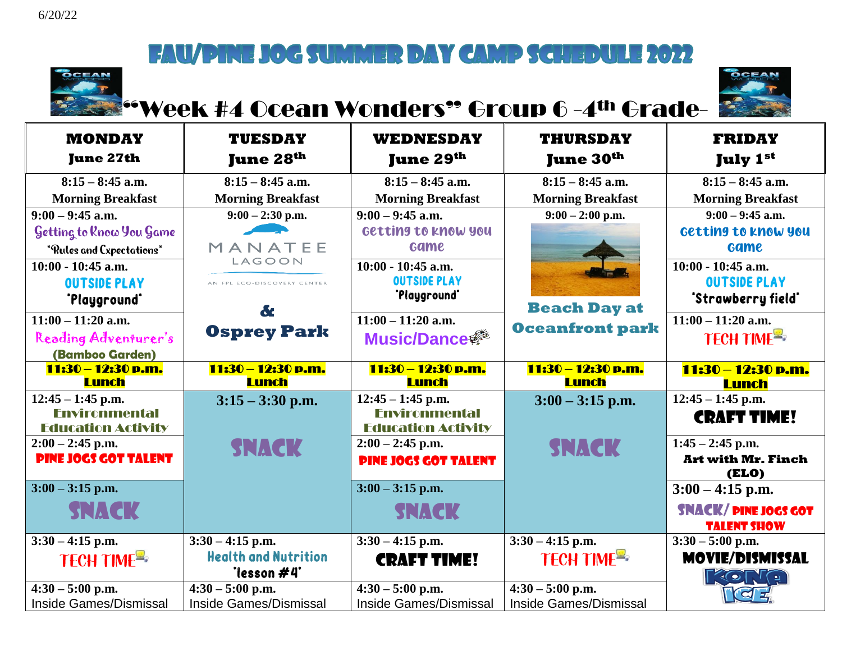

# "Week #4 Ocean Wonders" Group 6 -4th Grade-



| <b>MONDAY</b><br><b>June 27th</b>  | <b>TUESDAY</b><br><b>June 28th</b>         | <b>WEDNESDAY</b><br><b>June 29th</b> | <b>THURSDAY</b><br><b>June 30th</b>  | <b>FRIDAY</b><br><b>July 1st</b>         |
|------------------------------------|--------------------------------------------|--------------------------------------|--------------------------------------|------------------------------------------|
| $8:15 - 8:45$ a.m.                 | $8:15 - 8:45$ a.m.                         | $8:15 - 8:45$ a.m.                   | $8:15 - 8:45$ a.m.                   | $8:15 - 8:45$ a.m.                       |
| <b>Morning Breakfast</b>           | <b>Morning Breakfast</b>                   | <b>Morning Breakfast</b>             | <b>Morning Breakfast</b>             | <b>Morning Breakfast</b>                 |
| $9:00 - 9:45$ a.m.                 | $9:00 - 2:30$ p.m.                         | $9:00 - 9:45$ a.m.                   | $9:00 - 2:00$ p.m.                   | $9:00 - 9:45$ a.m.                       |
| Getting to Know You Game           |                                            | Getting to know you                  |                                      | Getting to know you                      |
| *Rules and Expectations*           | MANATEE                                    | <b>Game</b>                          |                                      | <b>Game</b>                              |
| 10:00 - 10:45 a.m.                 | LAGOON                                     | $10:00 - 10:45$ a.m.                 |                                      | $10:00 - 10:45$ a.m.                     |
| <b>OUTSIDE PLAY</b>                | AN FPL ECO-DISCOVERY CENTER                | <b>OUTSIDE PLAY</b>                  |                                      | <b>OUTSIDE PLAY</b>                      |
| "Playground"                       | &                                          | 'Playground'                         | <b>Beach Day at</b>                  | "Strawberry field"                       |
| $11:00 - 11:20$ a.m.               |                                            | $11:00 - 11:20$ a.m.                 |                                      | $11:00 - 11:20$ a.m.                     |
| Reading Adventurer's               | <b>Osprey Park</b>                         | <b>Music/Dance #</b>                 | <b>Oceanfront park</b>               | TECH TIME <sup>E</sup>                   |
| (Bamboo Garden)                    |                                            |                                      |                                      |                                          |
| 11:30 - 12:30 p.m.<br><b>Lunch</b> | 11:30 - 12:30 p.m.<br>Lunch                | 11:30 - 12:30 p.m.<br><b>Lunch</b>   | $11:30 - 12:30$ p.m.<br><b>Lunch</b> | 11:30 - 12:30 p.m.<br><b>Lunch</b>       |
| $12:45 - 1:45$ p.m.                | $3:15 - 3:30$ p.m.                         | $12:45 - 1:45$ p.m.                  | $3:00 - 3:15$ p.m.                   | $12:45 - 1:45$ p.m.                      |
| <b>Fnvironmental</b>               |                                            | <b>Fnvironmental</b>                 |                                      | <b>CRAFT TIME!</b>                       |
| <b>Education Activity</b>          |                                            | <b>Education Activity</b>            |                                      |                                          |
| $2:00 - 2:45$ p.m.                 | <b>SNACK</b>                               | $2:00 - 2:45$ p.m.                   | <b>SNACK</b>                         | $1:45 - 2:45$ p.m.                       |
| <b>PINE JOGS GOT TALENT</b>        |                                            | <b>PINE JOGS GOT TALENT</b>          |                                      | <b>Art with Mr. Finch</b><br>(ELO)       |
| $3:00 - 3:15$ p.m.                 |                                            | $3:00 - 3:15$ p.m.                   |                                      | $3:00 - 4:15$ p.m.                       |
| SNACK                              |                                            | <b>SNACK</b>                         |                                      | <b>SNACK/PINE JOGS GOT</b>               |
|                                    |                                            |                                      |                                      | <b>TALENT SHOW</b>                       |
| $3:30 - 4:15$ p.m.                 | $3:30 - 4:15$ p.m.                         | $3:30 - 4:15$ p.m.                   | $3:30 - 4:15$ p.m.                   | $3:30 - 5:00$ p.m.                       |
| TECH TIME <sup>E</sup>             | <b>Health and Nutrition</b><br>*lesson #4* | <b>CRAFT TIME!</b>                   | TECH TIME <sup>R</sup>               | <b>MOVIE/DISMISSAL</b><br><b>FRONT Q</b> |
| $4:30 - 5:00$ p.m.                 | $4:30 - 5:00$ p.m.                         | $4:30 - 5:00$ p.m.                   | $4:30 - 5:00$ p.m.                   |                                          |
| <b>Inside Games/Dismissal</b>      | <b>Inside Games/Dismissal</b>              | <b>Inside Games/Dismissal</b>        | <b>Inside Games/Dismissal</b>        |                                          |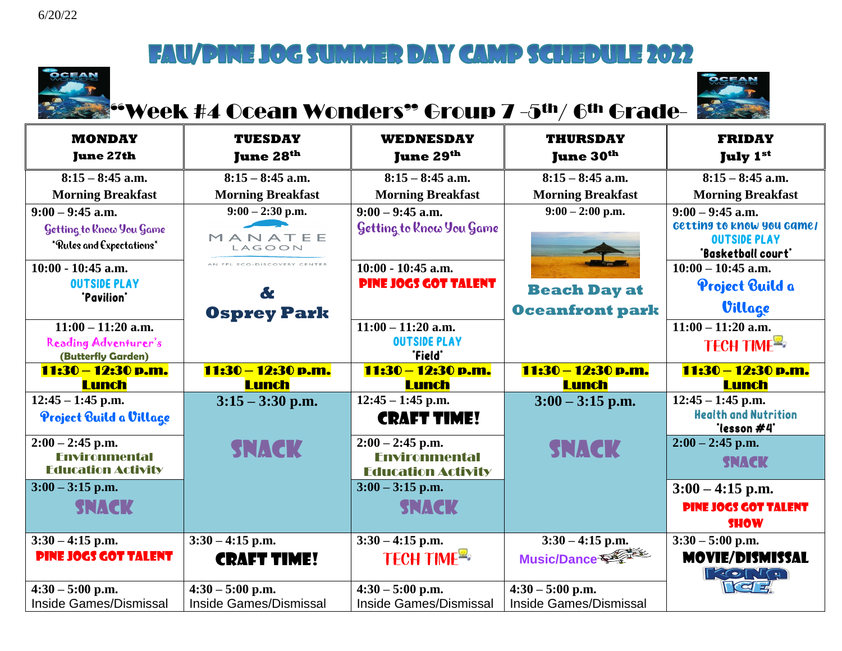

# "Week #4 Ocean Wonders" Group 7 -5th/ 6th Grade-



| <b>MONDAY</b><br><b>June 27th</b>                                          | <b>TUESDAY</b><br><b>June 28th</b>      | <b>WEDNESDAY</b><br>June 29 <sup>th</sup>                               | <b>THURSDAY</b><br><b>June 30th</b> | <b>FRIDAY</b><br><b>July 1st</b>                                                             |
|----------------------------------------------------------------------------|-----------------------------------------|-------------------------------------------------------------------------|-------------------------------------|----------------------------------------------------------------------------------------------|
| $8:15 - 8:45$ a.m.                                                         | $8:15 - 8:45$ a.m.                      | $8:15 - 8:45$ a.m.                                                      | $8:15 - 8:45$ a.m.                  | $8:15 - 8:45$ a.m.                                                                           |
| <b>Morning Breakfast</b>                                                   | <b>Morning Breakfast</b>                | <b>Morning Breakfast</b>                                                | <b>Morning Breakfast</b>            | <b>Morning Breakfast</b>                                                                     |
| $9:00 - 9:45$ a.m.<br>Getting to Rnow You Game<br>*Rules and Expectations* | $9:00 - 2:30$ p.m.<br>MANATEE<br>LAGOON | $9:00 - 9:45$ a.m.<br>Getting to Rnow You Game                          | $9:00 - 2:00$ p.m.                  | $9:00 - 9:45$ a.m.<br>Getting to know you game/<br><b>OUTSIDE PLAY</b><br>"Basketball court" |
| $10:00 - 10:45$ a.m.                                                       | AN FPL ECO-DISCOVERY CENTER             | $10:00 - 10:45$ a.m.                                                    |                                     | $10:00 - 10:45$ a.m.                                                                         |
| <b>OUTSIDE PLAY</b><br>"Pavilion"                                          | &                                       | <b>PINE JOGS GOT TALENT</b>                                             | <b>Beach Day at</b>                 | Project Build a                                                                              |
|                                                                            | <b>Osprey Park</b>                      |                                                                         | <b>Oceanfront park</b>              | Village                                                                                      |
| $11:00 - 11:20$ a.m.<br>Reading Adventurer's<br>(Butterfly Garden)         |                                         | $11:00 - 11:20$ a.m.<br><b>OUTSIDE PLAY</b><br>"Field"                  |                                     | $11:00 - 11:20$ a.m.<br>TECH TIME                                                            |
| 11:30 – 12:30 p.m.<br><b>Lunch</b>                                         | 11:30 – 12:30 p.m.<br><b>Lunch</b>      | 11:30 – 12:30 p.m.<br><b>Lunch</b>                                      | 11:30 – 12:30 p.m.<br><b>Lunch</b>  | 11:30 - 12:30 p.m.<br><b>Lunch</b>                                                           |
| $12:45 - 1:45$ p.m.<br>Project Build a Village                             | $3:15 - 3:30$ p.m.                      | $12:45 - 1:45$ p.m.<br><b>CRAFT TIME!</b>                               | $3:00 - 3:15$ p.m.                  | $12:45 - 1:45$ p.m.<br><b>Health and Nutrition</b><br>"lesson #4"                            |
| $2:00 - 2:45$ p.m.<br><b>Environmental</b><br><b>Education Activity</b>    | <b>SNACK</b>                            | $2:00 - 2:45$ p.m.<br><b>Fnvironmental</b><br><b>Education Activity</b> | <b>SNACK</b>                        | $2:00 - 2:45$ p.m.<br><b>SNACK</b>                                                           |
| $3:00 - 3:15$ p.m.                                                         |                                         | $3:00 - 3:15$ p.m.                                                      |                                     | $3:00 - 4:15$ p.m.                                                                           |
| <b>SNACK</b>                                                               |                                         | <b>SNACK</b>                                                            |                                     | <b>PINE JOCS GOT TALENT</b><br><b>SHOW</b>                                                   |
| $3:30 - 4:15$ p.m.                                                         | $3:30 - 4:15$ p.m.                      | $3:30 - 4:15$ p.m.                                                      | $3:30 - 4:15$ p.m.                  | $3:30 - 5:00$ p.m.                                                                           |
| <b>PINE JOGS GOT TALENT</b>                                                | <b>CRAFT TIME!</b>                      | TECH TIME <sup>E</sup>                                                  | Music/Dance                         | <b>MOVIE/DISMISSAL</b><br><b>LECTIC</b>                                                      |
| $4:30 - 5:00$ p.m.                                                         | $4:30 - 5:00$ p.m.                      | $4:30 - 5:00$ p.m.                                                      | $4:30 - 5:00$ p.m.                  | ra =                                                                                         |
| Inside Games/Dismissal                                                     | <b>Inside Games/Dismissal</b>           | <b>Inside Games/Dismissal</b>                                           | <b>Inside Games/Dismissal</b>       |                                                                                              |